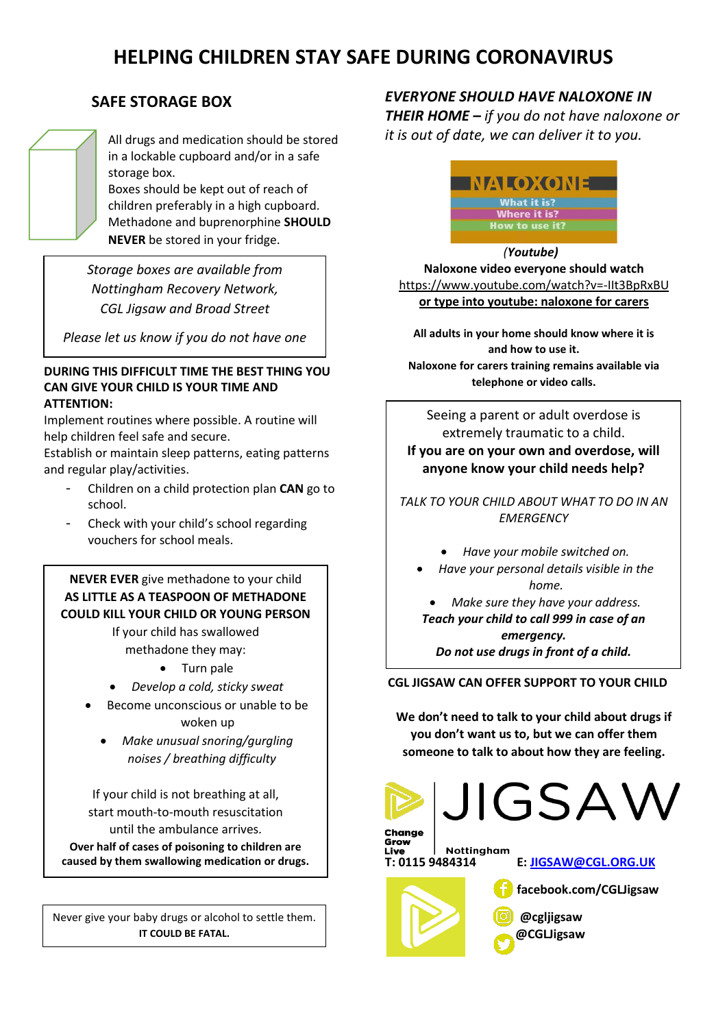# **HELPING CHILDREN STAY SAFE DURING CORONAVIRUS**

## **SAFE STORAGE BOX**

All drugs and medication should be stored in a lockable cupboard and/or in a safe storage box.

Boxes should be kept out of reach of children preferably in a high cupboard. Methadone and buprenorphine **SHOULD NEVER** be stored in your fridge.

*Storage boxes are available from Nottingham Recovery Network, CGL Jigsaw and Broad Street*

*Please let us know if you do not have one* 

#### **DURING THIS DIFFICULT TIME THE BEST THING YOU CAN GIVE YOUR CHILD IS YOUR TIME AND ATTENTION:**

Implement routines where possible. A routine will help children feel safe and secure.

Establish or maintain sleep patterns, eating patterns and regular play/activities.

- Children on a child protection plan **CAN** go to school.
- Check with your child's school regarding vouchers for school meals.

### **COULD KILL YOUR CHILD OR YOUNG PERSON NEVER EVER** give methadone to your child **AS LITTLE AS A TEASPOON OF METHADONE**

If your child has swallowed methadone they may:

- Turn pale
- *Develop a cold, sticky sweat*
- Become unconscious or unable to be woken up
	- *Make unusual snoring/gurgling noises / breathing difficulty*

If your child is not breathing at all, start mouth-to-mouth resuscitation until the ambulance arrives. **Over half of cases of poisoning to children are caused by them swallowing medication or drugs.**

Never give your baby drugs or alcohol to settle them. **IT COULD BE FATAL.**

# *EVERYONE SHOULD HAVE NALOXONE IN*

*THEIR HOME – if you do not have naloxone or it is out of date, we can deliver it to you.*



#### *(Youtube)* **Naloxone video everyone should watch** <https://www.youtube.com/watch?v=-IIt3BpRxBU> **or type into youtube: naloxone for carers**

**All adults in your home should know where it is and how to use it. Naloxone for carers training remains available via telephone or video calls.**

Seeing a parent or adult overdose is extremely traumatic to a child. **If you are on your own and overdose, will anyone know your child needs help?**

*TALK TO YOUR CHILD ABOUT WHAT TO DO IN AN EMERGENCY*

- *Have your mobile switched on.*
- *Have your personal details visible in the home.*

• *Make sure they have your address. Teach your child to call 999 in case of an emergency.*

*Do not use drugs in front of a child.*

**CGL JIGSAW CAN OFFER SUPPORT TO YOUR CHILD**

**We don't need to talk to your child about drugs if you don't want us to, but we can offer them someone to talk to about how they are feeling.**



JIGSAW

Grow Nottingham Live





 **facebook.com/CGLJigsaw @cgljigsaw** 

 **@CGLJigsaw**